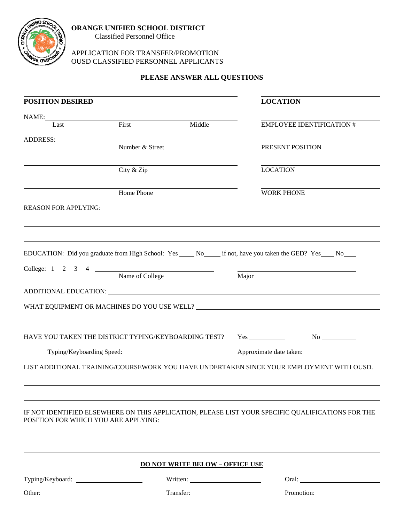

## APPLICATION FOR TRANSFER/PROMOTION OUSD CLASSIFIED PERSONNEL APPLICANTS

## **PLEASE ANSWER ALL QUESTIONS**

|                                                      | <b>LOCATION</b>                                                                                                                                                                                                                |
|------------------------------------------------------|--------------------------------------------------------------------------------------------------------------------------------------------------------------------------------------------------------------------------------|
|                                                      | <b>EMPLOYEE IDENTIFICATION #</b>                                                                                                                                                                                               |
|                                                      |                                                                                                                                                                                                                                |
|                                                      | PRESENT POSITION                                                                                                                                                                                                               |
|                                                      |                                                                                                                                                                                                                                |
|                                                      | <b>LOCATION</b>                                                                                                                                                                                                                |
|                                                      | <b>WORK PHONE</b>                                                                                                                                                                                                              |
|                                                      | REASON FOR APPLYING: New York Contract the Contract of the Contract of the Contract of the Contract of the Contract of the Contract of the Contract of the Contract of the Contract of the Contract of the Contract of the Con |
|                                                      |                                                                                                                                                                                                                                |
|                                                      |                                                                                                                                                                                                                                |
|                                                      | EDUCATION: Did you graduate from High School: Yes _____ No______ if not, have you taken the GED? Yes ____ No____                                                                                                               |
|                                                      |                                                                                                                                                                                                                                |
|                                                      | Major                                                                                                                                                                                                                          |
|                                                      |                                                                                                                                                                                                                                |
|                                                      |                                                                                                                                                                                                                                |
|                                                      |                                                                                                                                                                                                                                |
| HAVE YOU TAKEN THE DISTRICT TYPING/KEYBOARDING TEST? | $Yes \_$ No $\_$                                                                                                                                                                                                               |
|                                                      |                                                                                                                                                                                                                                |
|                                                      | LIST ADDITIONAL TRAINING/COURSEWORK YOU HAVE UNDERTAKEN SINCE YOUR EMPLOYMENT WITH OUSD.                                                                                                                                       |
|                                                      |                                                                                                                                                                                                                                |
|                                                      |                                                                                                                                                                                                                                |
|                                                      | IF NOT IDENTIFIED ELSEWHERE ON THIS APPLICATION, PLEASE LIST YOUR SPECIFIC QUALIFICATIONS FOR THE                                                                                                                              |
|                                                      |                                                                                                                                                                                                                                |
| <b>DO NOT WRITE BELOW - OFFICE USE</b>               |                                                                                                                                                                                                                                |
|                                                      |                                                                                                                                                                                                                                |
|                                                      | Oral: <u>Department</u>                                                                                                                                                                                                        |
|                                                      | Middle<br>College: 1 2 3 4 Name of College                                                                                                                                                                                     |